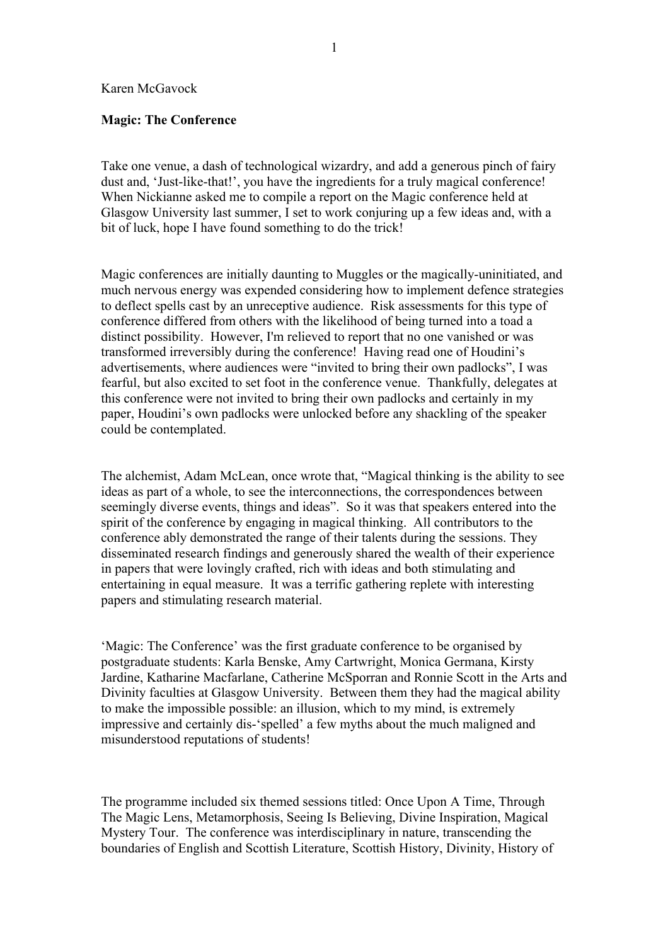## Karen McGavock

## **Magic: The Conference**

Take one venue, a dash of technological wizardry, and add a generous pinch of fairy dust and, 'Just-like-that!', you have the ingredients for a truly magical conference! When Nickianne asked me to compile a report on the Magic conference held at Glasgow University last summer, I set to work conjuring up a few ideas and, with a bit of luck, hope I have found something to do the trick!

Magic conferences are initially daunting to Muggles or the magically-uninitiated, and much nervous energy was expended considering how to implement defence strategies to deflect spells cast by an unreceptive audience. Risk assessments for this type of conference differed from others with the likelihood of being turned into a toad a distinct possibility. However, I'm relieved to report that no one vanished or was transformed irreversibly during the conference! Having read one of Houdini's advertisements, where audiences were "invited to bring their own padlocks", I was fearful, but also excited to set foot in the conference venue. Thankfully, delegates at this conference were not invited to bring their own padlocks and certainly in my paper, Houdini's own padlocks were unlocked before any shackling of the speaker could be contemplated.

The alchemist, Adam McLean, once wrote that, "Magical thinking is the ability to see ideas as part of a whole, to see the interconnections, the correspondences between seemingly diverse events, things and ideas". So it was that speakers entered into the spirit of the conference by engaging in magical thinking. All contributors to the conference ably demonstrated the range of their talents during the sessions. They disseminated research findings and generously shared the wealth of their experience in papers that were lovingly crafted, rich with ideas and both stimulating and entertaining in equal measure. It was a terrific gathering replete with interesting papers and stimulating research material.

'Magic: The Conference' was the first graduate conference to be organised by postgraduate students: Karla Benske, Amy Cartwright, Monica Germana, Kirsty Jardine, Katharine Macfarlane, Catherine McSporran and Ronnie Scott in the Arts and Divinity faculties at Glasgow University. Between them they had the magical ability to make the impossible possible: an illusion, which to my mind, is extremely impressive and certainly dis-'spelled' a few myths about the much maligned and misunderstood reputations of students!

The programme included six themed sessions titled: Once Upon A Time, Through The Magic Lens, Metamorphosis, Seeing Is Believing, Divine Inspiration, Magical Mystery Tour. The conference was interdisciplinary in nature, transcending the boundaries of English and Scottish Literature, Scottish History, Divinity, History of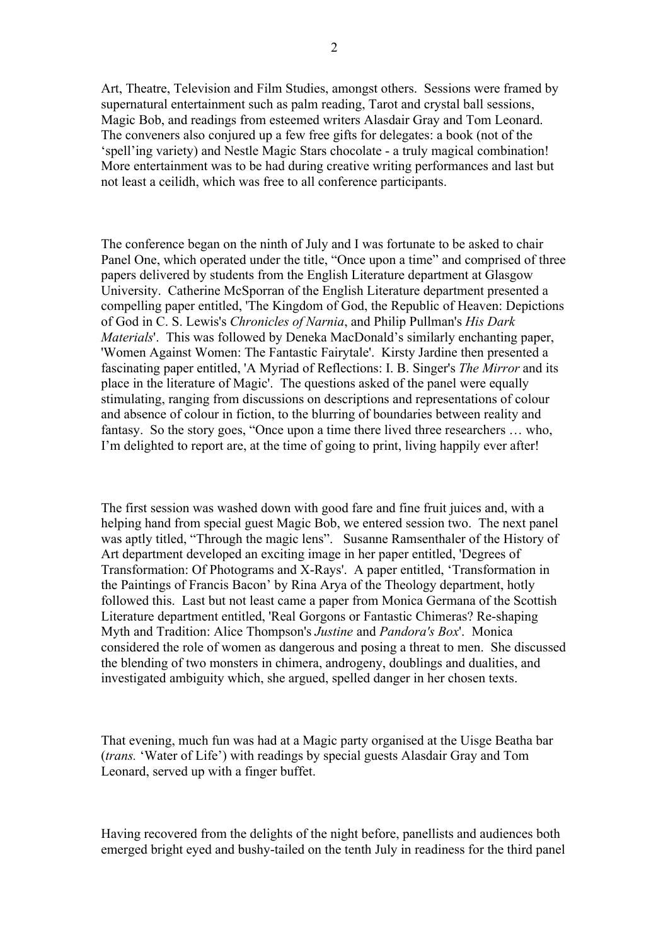Art, Theatre, Television and Film Studies, amongst others. Sessions were framed by supernatural entertainment such as palm reading, Tarot and crystal ball sessions, Magic Bob, and readings from esteemed writers Alasdair Gray and Tom Leonard. The conveners also conjured up a few free gifts for delegates: a book (not of the 'spell'ing variety) and Nestle Magic Stars chocolate - a truly magical combination! More entertainment was to be had during creative writing performances and last but not least a ceilidh, which was free to all conference participants.

The conference began on the ninth of July and I was fortunate to be asked to chair Panel One, which operated under the title, "Once upon a time" and comprised of three papers delivered by students from the English Literature department at Glasgow University. Catherine McSporran of the English Literature department presented a compelling paper entitled, 'The Kingdom of God, the Republic of Heaven: Depictions of God in C. S. Lewis's *Chronicles of Narnia*, and Philip Pullman's *His Dark Materials*'. This was followed by Deneka MacDonald's similarly enchanting paper, 'Women Against Women: The Fantastic Fairytale'. Kirsty Jardine then presented a fascinating paper entitled, 'A Myriad of Reflections: I. B. Singer's *The Mirror* and its place in the literature of Magic'. The questions asked of the panel were equally stimulating, ranging from discussions on descriptions and representations of colour and absence of colour in fiction, to the blurring of boundaries between reality and fantasy. So the story goes, "Once upon a time there lived three researchers … who, I'm delighted to report are, at the time of going to print, living happily ever after!

The first session was washed down with good fare and fine fruit juices and, with a helping hand from special guest Magic Bob, we entered session two. The next panel was aptly titled, "Through the magic lens". Susanne Ramsenthaler of the History of Art department developed an exciting image in her paper entitled, 'Degrees of Transformation: Of Photograms and X-Rays'. A paper entitled, 'Transformation in the Paintings of Francis Bacon' by Rina Arya of the Theology department, hotly followed this. Last but not least came a paper from Monica Germana of the Scottish Literature department entitled, 'Real Gorgons or Fantastic Chimeras? Re-shaping Myth and Tradition: Alice Thompson's *Justine* and *Pandora's Box*'. Monica considered the role of women as dangerous and posing a threat to men. She discussed the blending of two monsters in chimera, androgeny, doublings and dualities, and investigated ambiguity which, she argued, spelled danger in her chosen texts.

That evening, much fun was had at a Magic party organised at the Uisge Beatha bar (*trans.* 'Water of Life') with readings by special guests Alasdair Gray and Tom Leonard, served up with a finger buffet.

Having recovered from the delights of the night before, panellists and audiences both emerged bright eyed and bushy-tailed on the tenth July in readiness for the third panel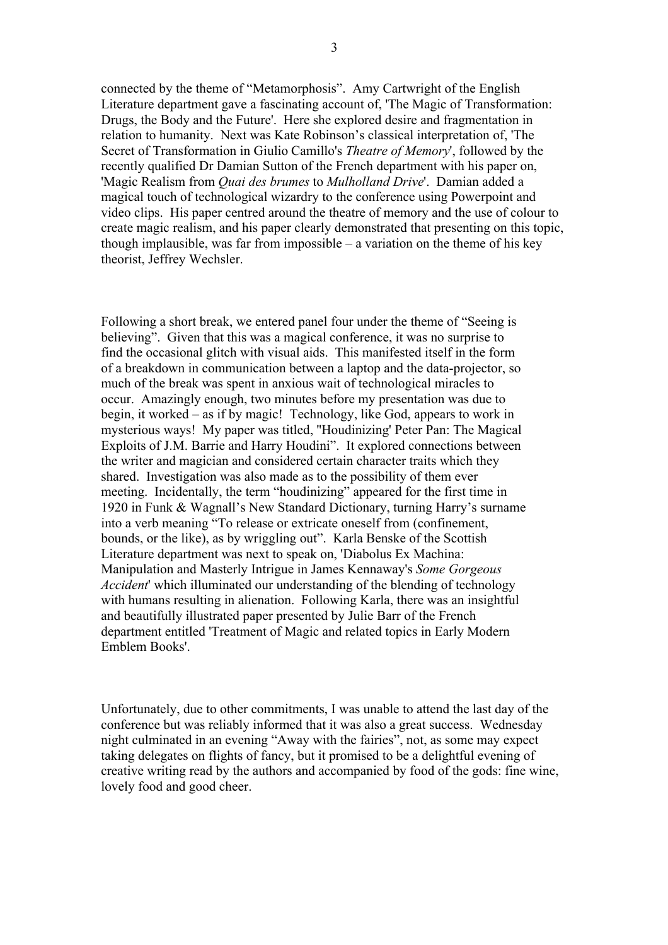connected by the theme of "Metamorphosis". Amy Cartwright of the English Literature department gave a fascinating account of, 'The Magic of Transformation: Drugs, the Body and the Future'. Here she explored desire and fragmentation in relation to humanity. Next was Kate Robinson's classical interpretation of, 'The Secret of Transformation in Giulio Camillo's *Theatre of Memory*', followed by the recently qualified Dr Damian Sutton of the French department with his paper on, 'Magic Realism from *Quai des brumes* to *Mulholland Drive*'. Damian added a magical touch of technological wizardry to the conference using Powerpoint and video clips. His paper centred around the theatre of memory and the use of colour to create magic realism, and his paper clearly demonstrated that presenting on this topic, though implausible, was far from impossible – a variation on the theme of his key theorist, Jeffrey Wechsler.

Following a short break, we entered panel four under the theme of "Seeing is believing". Given that this was a magical conference, it was no surprise to find the occasional glitch with visual aids. This manifested itself in the form of a breakdown in communication between a laptop and the data-projector, so much of the break was spent in anxious wait of technological miracles to occur. Amazingly enough, two minutes before my presentation was due to begin, it worked – as if by magic! Technology, like God, appears to work in mysterious ways! My paper was titled, ''Houdinizing' Peter Pan: The Magical Exploits of J.M. Barrie and Harry Houdini". It explored connections between the writer and magician and considered certain character traits which they shared. Investigation was also made as to the possibility of them ever meeting. Incidentally, the term "houdinizing" appeared for the first time in 1920 in Funk & Wagnall's New Standard Dictionary, turning Harry's surname into a verb meaning "To release or extricate oneself from (confinement, bounds, or the like), as by wriggling out". Karla Benske of the Scottish Literature department was next to speak on, 'Diabolus Ex Machina: Manipulation and Masterly Intrigue in James Kennaway's *Some Gorgeous Accident*' which illuminated our understanding of the blending of technology with humans resulting in alienation. Following Karla, there was an insightful and beautifully illustrated paper presented by Julie Barr of the French department entitled 'Treatment of Magic and related topics in Early Modern Emblem Books'.

Unfortunately, due to other commitments, I was unable to attend the last day of the conference but was reliably informed that it was also a great success. Wednesday night culminated in an evening "Away with the fairies", not, as some may expect taking delegates on flights of fancy, but it promised to be a delightful evening of creative writing read by the authors and accompanied by food of the gods: fine wine, lovely food and good cheer.